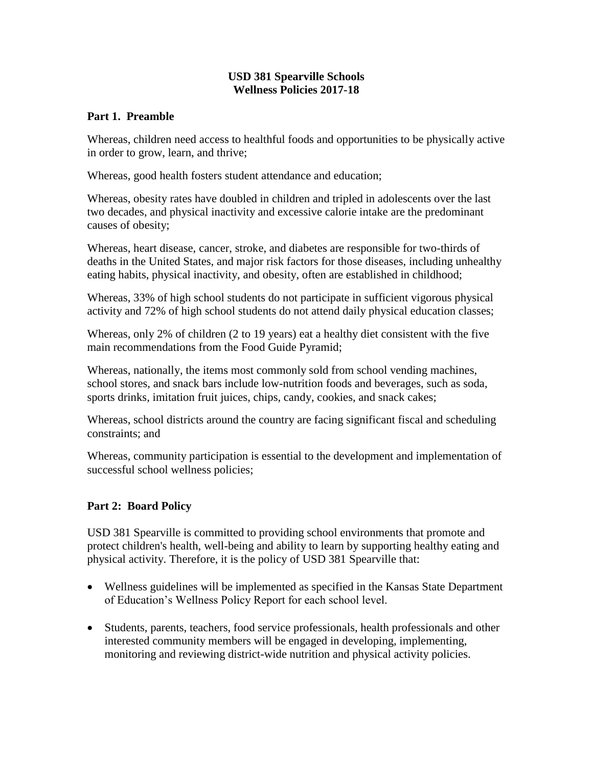#### **USD 381 Spearville Schools Wellness Policies 2017-18**

#### **Part 1. Preamble**

Whereas, children need access to healthful foods and opportunities to be physically active in order to grow, learn, and thrive;

Whereas, good health fosters student attendance and education;

Whereas, obesity rates have doubled in children and tripled in adolescents over the last two decades, and physical inactivity and excessive calorie intake are the predominant causes of obesity;

Whereas, heart disease, cancer, stroke, and diabetes are responsible for two-thirds of deaths in the United States, and major risk factors for those diseases, including unhealthy eating habits, physical inactivity, and obesity, often are established in childhood;

Whereas, 33% of high school students do not participate in sufficient vigorous physical activity and 72% of high school students do not attend daily physical education classes;

Whereas, only 2% of children (2 to 19 years) eat a healthy diet consistent with the five main recommendations from the Food Guide Pyramid;

Whereas, nationally, the items most commonly sold from school vending machines, school stores, and snack bars include low-nutrition foods and beverages, such as soda, sports drinks, imitation fruit juices, chips, candy, cookies, and snack cakes;

Whereas, school districts around the country are facing significant fiscal and scheduling constraints; and

Whereas, community participation is essential to the development and implementation of successful school wellness policies;

#### **Part 2: Board Policy**

USD 381 Spearville is committed to providing school environments that promote and protect children's health, well-being and ability to learn by supporting healthy eating and physical activity. Therefore, it is the policy of USD 381 Spearville that:

- Wellness guidelines will be implemented as specified in the Kansas State Department of Education's Wellness Policy Report for each school level.
- Students, parents, teachers, food service professionals, health professionals and other interested community members will be engaged in developing, implementing, monitoring and reviewing district-wide nutrition and physical activity policies.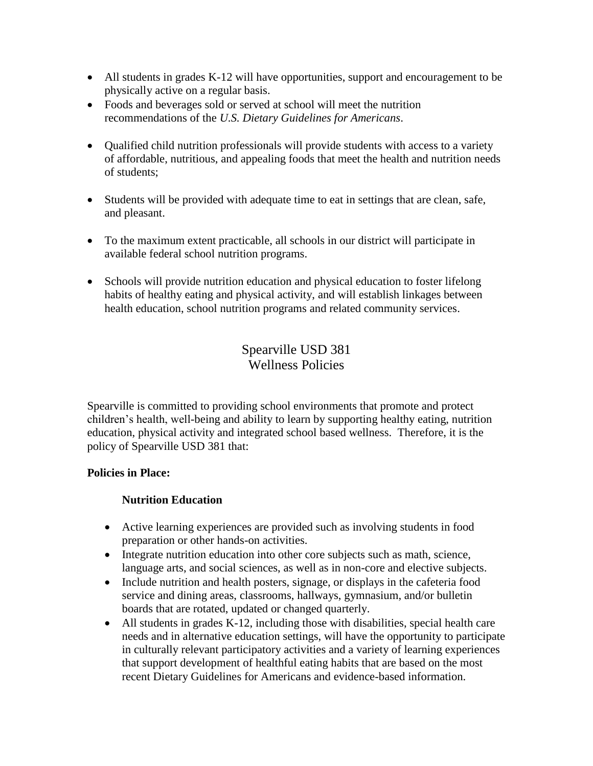- All students in grades K-12 will have opportunities, support and encouragement to be physically active on a regular basis.
- Foods and beverages sold or served at school will meet the nutrition recommendations of the *U.S. Dietary Guidelines for Americans*.
- Qualified child nutrition professionals will provide students with access to a variety of affordable, nutritious, and appealing foods that meet the health and nutrition needs of students;
- Students will be provided with adequate time to eat in settings that are clean, safe, and pleasant.
- To the maximum extent practicable, all schools in our district will participate in available federal school nutrition programs.
- Schools will provide nutrition education and physical education to foster lifelong habits of healthy eating and physical activity, and will establish linkages between health education, school nutrition programs and related community services.

# Spearville USD 381 Wellness Policies

Spearville is committed to providing school environments that promote and protect children's health, well-being and ability to learn by supporting healthy eating, nutrition education, physical activity and integrated school based wellness. Therefore, it is the policy of Spearville USD 381 that:

# **Policies in Place:**

# **Nutrition Education**

- Active learning experiences are provided such as involving students in food preparation or other hands-on activities.
- Integrate nutrition education into other core subjects such as math, science, language arts, and social sciences, as well as in non-core and elective subjects.
- Include nutrition and health posters, signage, or displays in the cafeteria food service and dining areas, classrooms, hallways, gymnasium, and/or bulletin boards that are rotated, updated or changed quarterly.
- All students in grades K-12, including those with disabilities, special health care needs and in alternative education settings, will have the opportunity to participate in culturally relevant participatory activities and a variety of learning experiences that support development of healthful eating habits that are based on the most recent Dietary Guidelines for Americans and evidence-based information.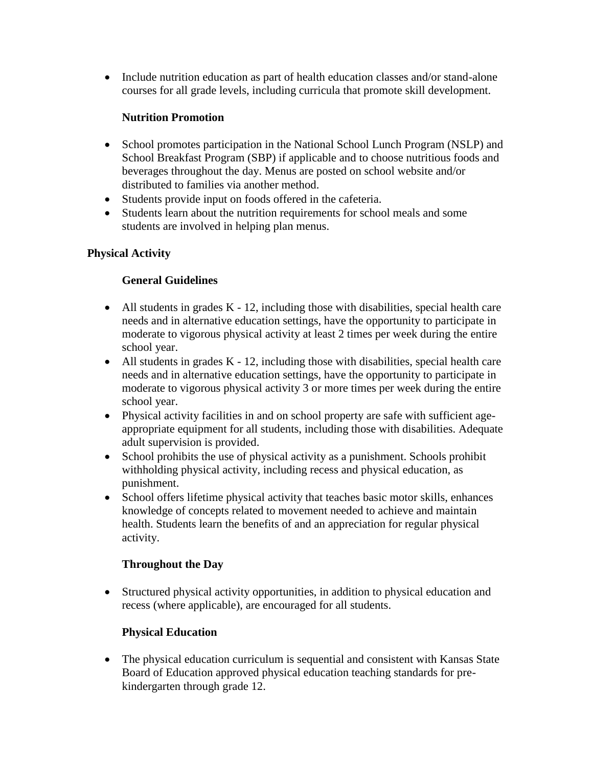• Include nutrition education as part of health education classes and/or stand-alone courses for all grade levels, including curricula that promote skill development.

### **Nutrition Promotion**

- School promotes participation in the National School Lunch Program (NSLP) and School Breakfast Program (SBP) if applicable and to choose nutritious foods and beverages throughout the day. Menus are posted on school website and/or distributed to families via another method.
- Students provide input on foods offered in the cafeteria.
- Students learn about the nutrition requirements for school meals and some students are involved in helping plan menus.

### **Physical Activity**

# **General Guidelines**

- $\bullet$  All students in grades K 12, including those with disabilities, special health care needs and in alternative education settings, have the opportunity to participate in moderate to vigorous physical activity at least 2 times per week during the entire school year.
- All students in grades K 12, including those with disabilities, special health care needs and in alternative education settings, have the opportunity to participate in moderate to vigorous physical activity 3 or more times per week during the entire school year.
- Physical activity facilities in and on school property are safe with sufficient ageappropriate equipment for all students, including those with disabilities. Adequate adult supervision is provided.
- School prohibits the use of physical activity as a punishment. Schools prohibit withholding physical activity, including recess and physical education, as punishment.
- School offers lifetime physical activity that teaches basic motor skills, enhances knowledge of concepts related to movement needed to achieve and maintain health. Students learn the benefits of and an appreciation for regular physical activity.

#### **Throughout the Day**

 Structured physical activity opportunities, in addition to physical education and recess (where applicable), are encouraged for all students.

# **Physical Education**

• The physical education curriculum is sequential and consistent with Kansas State Board of Education approved physical education teaching standards for prekindergarten through grade 12.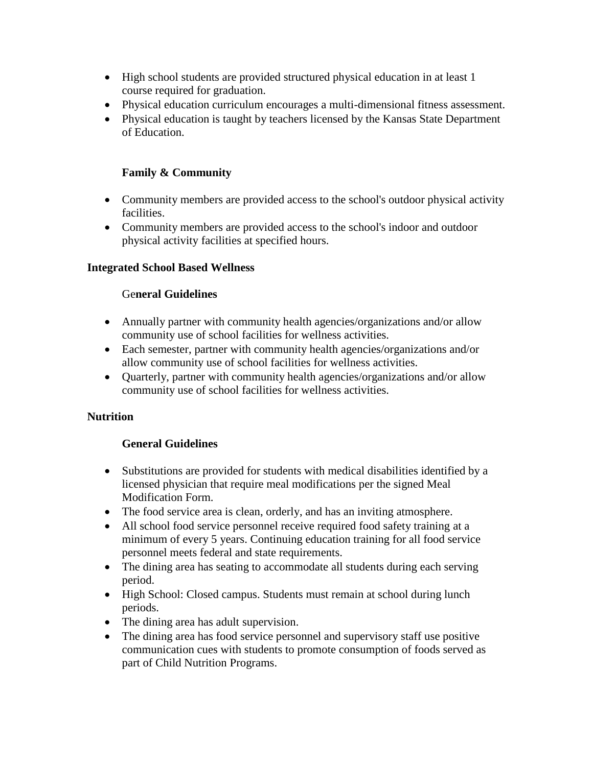- High school students are provided structured physical education in at least 1 course required for graduation.
- Physical education curriculum encourages a multi-dimensional fitness assessment.
- Physical education is taught by teachers licensed by the Kansas State Department of Education.

### **Family & Community**

- Community members are provided access to the school's outdoor physical activity facilities.
- Community members are provided access to the school's indoor and outdoor physical activity facilities at specified hours.

#### **Integrated School Based Wellness**

### Ge**neral Guidelines**

- Annually partner with community health agencies/organizations and/or allow community use of school facilities for wellness activities.
- Each semester, partner with community health agencies/organizations and/or allow community use of school facilities for wellness activities.
- Quarterly, partner with community health agencies/organizations and/or allow community use of school facilities for wellness activities.

#### **Nutrition**

#### **General Guidelines**

- Substitutions are provided for students with medical disabilities identified by a licensed physician that require meal modifications per the signed Meal Modification Form.
- The food service area is clean, orderly, and has an inviting atmosphere.
- All school food service personnel receive required food safety training at a minimum of every 5 years. Continuing education training for all food service personnel meets federal and state requirements.
- The dining area has seating to accommodate all students during each serving period.
- High School: Closed campus. Students must remain at school during lunch periods.
- The dining area has adult supervision.
- The dining area has food service personnel and supervisory staff use positive communication cues with students to promote consumption of foods served as part of Child Nutrition Programs.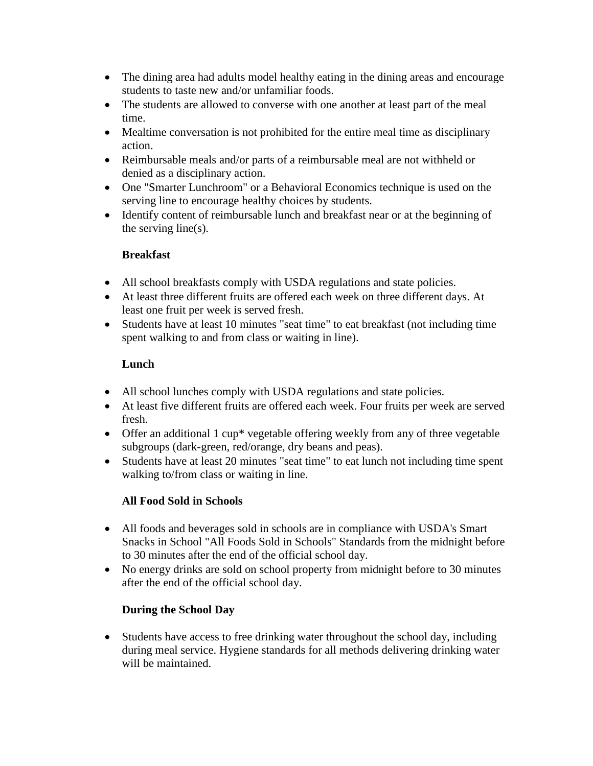- The dining area had adults model healthy eating in the dining areas and encourage students to taste new and/or unfamiliar foods.
- The students are allowed to converse with one another at least part of the meal time.
- Mealtime conversation is not prohibited for the entire meal time as disciplinary action.
- Reimbursable meals and/or parts of a reimbursable meal are not withheld or denied as a disciplinary action.
- One "Smarter Lunchroom" or a Behavioral Economics technique is used on the serving line to encourage healthy choices by students.
- Identify content of reimbursable lunch and breakfast near or at the beginning of the serving line(s).

#### **Breakfast**

- All school breakfasts comply with USDA regulations and state policies.
- At least three different fruits are offered each week on three different days. At least one fruit per week is served fresh.
- Students have at least 10 minutes "seat time" to eat breakfast (not including time spent walking to and from class or waiting in line).

### **Lunch**

- All school lunches comply with USDA regulations and state policies.
- At least five different fruits are offered each week. Four fruits per week are served fresh.
- Offer an additional 1 cup<sup>\*</sup> vegetable offering weekly from any of three vegetable subgroups (dark-green, red/orange, dry beans and peas).
- Students have at least 20 minutes "seat time" to eat lunch not including time spent walking to/from class or waiting in line.

# **All Food Sold in Schools**

- All foods and beverages sold in schools are in compliance with USDA's Smart Snacks in School "All Foods Sold in Schools" Standards from the midnight before to 30 minutes after the end of the official school day.
- No energy drinks are sold on school property from midnight before to 30 minutes after the end of the official school day.

# **During the School Day**

• Students have access to free drinking water throughout the school day, including during meal service. Hygiene standards for all methods delivering drinking water will be maintained.